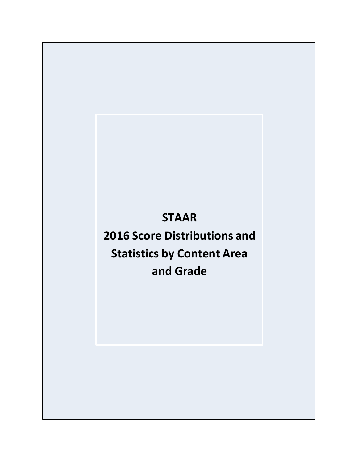## **STAAR**

# **2016 Score Distributions and Statistics by Content Area and Grade**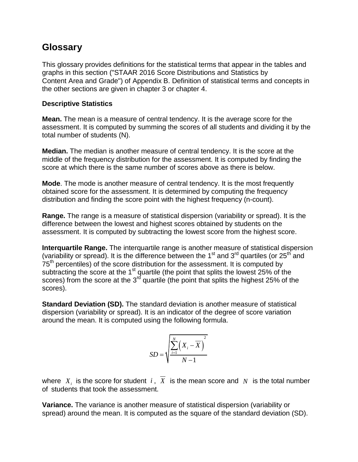### **Glossary**

This glossary provides definitions for the statistical terms that appear in the tables and graphs in this section ("STAAR 2016 Score Distributions and Statistics by Content Area and Grade") of Appendix B. Definition of statistical terms and concepts in the other sections are given in chapter 3 or chapter 4.

#### **Descriptive Statistics**

**Mean.** The mean is a measure of central tendency. It is the average score for the assessment. It is computed by summing the scores of all students and dividing it by the total number of students (N).

**Median.** The median is another measure of central tendency. It is the score at the middle of the frequency distribution for the assessment. It is computed by finding the score at which there is the same number of scores above as there is below.

**Mode**. The mode is another measure of central tendency. It is the most frequently obtained score for the assessment. It is determined by computing the frequency distribution and finding the score point with the highest frequency (n-count).

**Range.** The range is a measure of statistical dispersion (variability or spread). It is the difference between the lowest and highest scores obtained by students on the assessment. It is computed by subtracting the lowest score from the highest score.

**Interquartile Range.** The interquartile range is another measure of statistical dispersion (variability or spread). It is the difference between the  $1<sup>st</sup>$  and  $3<sup>rd</sup>$  quartiles (or  $25<sup>th</sup>$  and 75<sup>th</sup> percentiles) of the score distribution for the assessment. It is computed by subtracting the score at the  $1<sup>st</sup>$  quartile (the point that splits the lowest 25% of the scores) from the score at the 3<sup>rd</sup> quartile (the point that splits the highest 25% of the scores).

**Standard Deviation (SD).** The standard deviation is another measure of statistical dispersion (variability or spread). It is an indicator of the degree of score variation around the mean. It is computed using the following formula.

$$
SD = \sqrt{\frac{\sum_{i=1}^{N} (X_i - \overline{X})^2}{N - 1}}
$$

where  $X_i$  is the score for student  $i$ ,  $X$  is the mean score and  $N$  is the total number of students that took the assessment.

**Variance.** The variance is another measure of statistical dispersion (variability or spread) around the mean. It is computed as the square of the standard deviation (SD).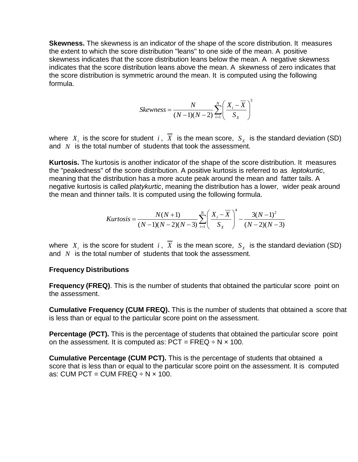**Skewness.** The skewness is an indicator of the shape of the score distribution. It measures the extent to which the score distribution "leans" to one side of the mean. A positive skewness indicates that the score distribution leans below the mean. A negative skewness indicates that the score distribution leans above the mean. A skewness of zero indicates that the score distribution is symmetric around the mean. It is computed using the following formula.

$$
Skewness = \frac{N}{(N-1)(N-2)} \sum_{i=1}^{N} \left( \frac{X_i - \overline{X}}{S_X} \right)^3
$$

where  $X_i$  is the score for student i, X is the mean score,  $S_X$  is the standard deviation (SD) and  $N$  is the total number of students that took the assessment.  $X_i$  is the score for student i, X *N*

**Kurtosis.** The kurtosis is another indicator of the shape of the score distribution. It measures the "peakedness" of the score distribution. A positive kurtosis is referred to as *leptokurtic*, meaning that the distribution has a more acute peak around the mean and fatter tails. A negative kurtosis is called *platykurtic*, meaning the distribution has a lower, wider peak around

the mean and thinner tails. It is computed using the following formula.  
\n
$$
Kurtosis = \frac{N(N+1)}{(N-1)(N-2)(N-3)} \sum_{i=1}^{N} \left(\frac{X_i - \overline{X}}{S_X}\right)^4 - \frac{3(N-1)^2}{(N-2)(N-3)}
$$

where  $X_i$  is the score for student  $i$ ,  $X$  is the mean score,  $S_X$  is the standard deviation (SD) and  $N$  is the total number of students that took the assessment.

#### **Frequency Distributions**

**Frequency (FREQ)**. This is the number of students that obtained the particular score point on the assessment.

**Cumulative Frequency (CUM FREQ).** This is the number of students that obtained a score that is less than or equal to the particular score point on the assessment.

**Percentage (PCT).** This is the percentage of students that obtained the particular score point on the assessment. It is computed as:  $PCT = FREG \div N \times 100$ .

**Cumulative Percentage (CUM PCT).** This is the percentage of students that obtained a score that is less than or equal to the particular score point on the assessment. It is computed as: CUM PCT = CUM FREQ  $\div$  N  $\times$  100.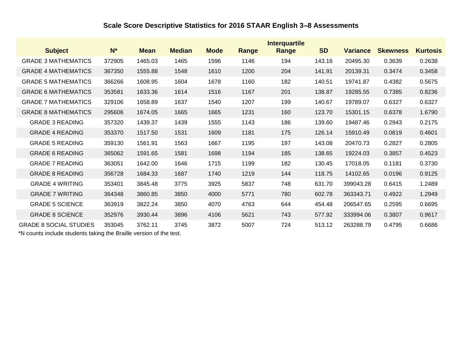### **Scale Score Descriptive Statistics for 2016 STAAR English 3–8 Assessments**

|                               |        |             |               |             |              | <b>Interquartile</b> |           |                 |                 |                 |
|-------------------------------|--------|-------------|---------------|-------------|--------------|----------------------|-----------|-----------------|-----------------|-----------------|
| <b>Subject</b>                | $N^*$  | <b>Mean</b> | <b>Median</b> | <b>Mode</b> | <b>Range</b> | Range                | <b>SD</b> | <b>Variance</b> | <b>Skewness</b> | <b>Kurtosis</b> |
| <b>GRADE 3 MATHEMATICS</b>    | 372905 | 1465.03     | 1465          | 1596        | 1146         | 194                  | 143.16    | 20495.30        | 0.3639          | 0.2638          |
| <b>GRADE 4 MATHEMATICS</b>    | 367350 | 1555.88     | 1548          | 1610        | 1200         | 204                  | 141.91    | 20139.31        | 0.3474          | 0.3458          |
| <b>GRADE 5 MATHEMATICS</b>    | 366266 | 1608.95     | 1604          | 1678        | 1160         | 182                  | 140.51    | 19741.87        | 0.4382          | 0.5675          |
| <b>GRADE 6 MATHEMATICS</b>    | 353581 | 1633.36     | 1614          | 1516        | 1167         | 201                  | 138.87    | 19285.55        | 0.7385          | 0.8236          |
| <b>GRADE 7 MATHEMATICS</b>    | 329106 | 1658.89     | 1637          | 1540        | 1207         | 199                  | 140.67    | 19789.07        | 0.6327          | 0.6327          |
| <b>GRADE 8 MATHEMATICS</b>    | 295606 | 1674.05     | 1665          | 1665        | 1231         | 160                  | 123.70    | 15301.15        | 0.6378          | 1.6790          |
| <b>GRADE 3 READING</b>        | 357320 | 1439.37     | 1439          | 1555        | 1143         | 186                  | 139.60    | 19487.46        | 0.2943          | 0.2175          |
| <b>GRADE 4 READING</b>        | 353370 | 1517.50     | 1531          | 1609        | 1181         | 175                  | 126.14    | 15910.49        | 0.0819          | 0.4601          |
| <b>GRADE 5 READING</b>        | 359130 | 1561.91     | 1563          | 1667        | 1195         | 197                  | 143.08    | 20470.73        | 0.2827          | 0.2805          |
| <b>GRADE 6 READING</b>        | 365062 | 1591.65     | 1581          | 1698        | 1194         | 185                  | 138.65    | 19224.03        | 0.3857          | 0.4523          |
| <b>GRADE 7 READING</b>        | 363051 | 1642.00     | 1646          | 1715        | 1199         | 182                  | 130.45    | 17018.05        | 0.1181          | 0.3730          |
| <b>GRADE 8 READING</b>        | 356728 | 1684.33     | 1687          | 1740        | 1219         | 144                  | 118.75    | 14102.65        | 0.0196          | 0.9125          |
| <b>GRADE 4 WRITING</b>        | 353401 | 3845.48     | 3775          | 3925        | 5837         | 748                  | 631.70    | 399043.28       | 0.6415          | 1.2489          |
| <b>GRADE 7 WRITING</b>        | 364348 | 3860.85     | 3850          | 4000        | 5771         | 780                  | 602.78    | 363343.71       | 0.4922          | 1.2949          |
| <b>GRADE 5 SCIENCE</b>        | 363919 | 3822.24     | 3850          | 4070        | 4763         | 644                  | 454.48    | 206547.65       | 0.2595          | 0.6695          |
| <b>GRADE 8 SCIENCE</b>        | 352976 | 3930.44     | 3896          | 4106        | 5621         | 743                  | 577.92    | 333994.06       | 0.3807          | 0.9617          |
| <b>GRADE 8 SOCIAL STUDIES</b> | 353045 | 3762.11     | 3745          | 3872        | 5007         | 724                  | 513.12    | 263288.79       | 0.4795          | 0.6686          |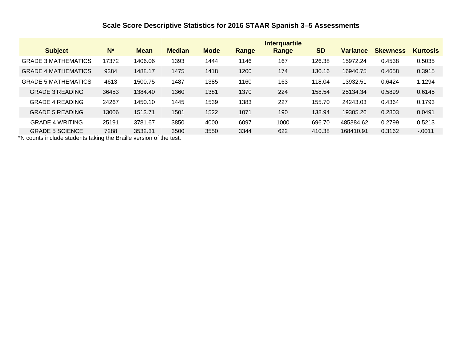### **Scale Score Descriptive Statistics for 2016 STAAR Spanish 3–5 Assessments**

|                            |       |             |               |             |       | <b>Interquartile</b> |           |                 |                 |                 |
|----------------------------|-------|-------------|---------------|-------------|-------|----------------------|-----------|-----------------|-----------------|-----------------|
| <b>Subject</b>             | $N^*$ | <b>Mean</b> | <b>Median</b> | <b>Mode</b> | Range | Range                | <b>SD</b> | <b>Variance</b> | <b>Skewness</b> | <b>Kurtosis</b> |
| <b>GRADE 3 MATHEMATICS</b> | 17372 | 1406.06     | 1393          | 1444        | 1146  | 167                  | 126.38    | 15972.24        | 0.4538          | 0.5035          |
| <b>GRADE 4 MATHEMATICS</b> | 9384  | 1488.17     | 1475          | 1418        | 1200  | 174                  | 130.16    | 16940.75        | 0.4658          | 0.3915          |
| <b>GRADE 5 MATHEMATICS</b> | 4613  | 1500.75     | 1487          | 1385        | 1160  | 163                  | 118.04    | 13932.51        | 0.6424          | 1.1294          |
| <b>GRADE 3 READING</b>     | 36453 | 1384.40     | 1360          | 1381        | 1370  | 224                  | 158.54    | 25134.34        | 0.5899          | 0.6145          |
| <b>GRADE 4 READING</b>     | 24267 | 1450.10     | 1445          | 1539        | 1383  | 227                  | 155.70    | 24243.03        | 0.4364          | 0.1793          |
| <b>GRADE 5 READING</b>     | 13006 | 1513.71     | 1501          | 1522        | 1071  | 190                  | 138.94    | 19305.26        | 0.2803          | 0.0491          |
| <b>GRADE 4 WRITING</b>     | 25191 | 3781.67     | 3850          | 4000        | 6097  | 1000                 | 696.70    | 485384.62       | 0.2799          | 0.5213          |
| <b>GRADE 5 SCIENCE</b>     | 7288  | 3532.31     | 3500          | 3550        | 3344  | 622                  | 410.38    | 168410.91       | 0.3162          | $-.0011$        |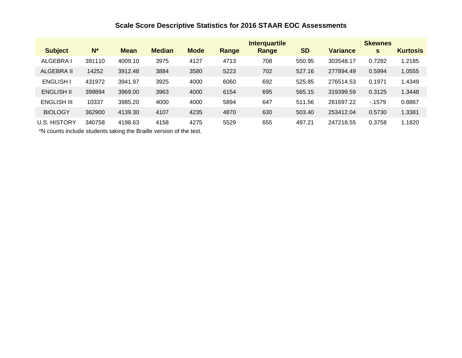### **Scale Score Descriptive Statistics for 2016 STAAR EOC Assessments**

|                     |        |             |               |             |       | <b>Interquartile</b> |           |                 | <b>Skewnes</b> |                 |
|---------------------|--------|-------------|---------------|-------------|-------|----------------------|-----------|-----------------|----------------|-----------------|
| <b>Subject</b>      | $N^*$  | <b>Mean</b> | <b>Median</b> | <b>Mode</b> | Range | Range                | <b>SD</b> | <b>Variance</b> | s              | <b>Kurtosis</b> |
| ALGEBRA I           | 391110 | 4009.10     | 3975          | 4127        | 4713  | 708                  | 550.95    | 303548.17       | 0.7282         | 1.2185          |
| ALGEBRA II          | 14252  | 3912.48     | 3884          | 3580        | 5223  | 702                  | 527.16    | 277894.49       | 0.5994         | 1.0555          |
| <b>ENGLISH I</b>    | 431972 | 3941.97     | 3925          | 4000        | 6060  | 692                  | 525.85    | 276514.53       | 0.1971         | 1.4349          |
| <b>ENGLISH II</b>   | 399894 | 3969.00     | 3963          | 4000        | 6154  | 695                  | 565.15    | 319399.59       | 0.3125         | 1.3448          |
| ENGLISH III         | 10337  | 3985.20     | 4000          | 4000        | 5894  | 647                  | 511.56    | 261697.22       | $-1579$        | 0.8867          |
| <b>BIOLOGY</b>      | 362900 | 4139.30     | 4107          | 4235        | 4870  | 630                  | 503.40    | 253412.04       | 0.5730         | 1.3381          |
| <b>U.S. HISTORY</b> | 340758 | 4198.63     | 4158          | 4275        | 5529  | 655                  | 497.21    | 247218.55       | 0.3758         | 1.1820          |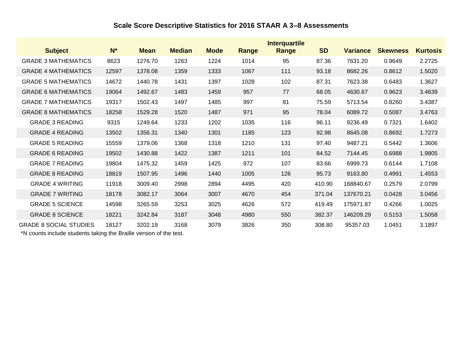### **Scale Score Descriptive Statistics for 2016 STAAR A 3–8 Assessments**

|                               |       |             |               |             |       | <b>Interquartile</b> |           |                 |                 |                 |
|-------------------------------|-------|-------------|---------------|-------------|-------|----------------------|-----------|-----------------|-----------------|-----------------|
| <b>Subject</b>                | $N^*$ | <b>Mean</b> | <b>Median</b> | <b>Mode</b> | Range | Range                | <b>SD</b> | <b>Variance</b> | <b>Skewness</b> | <b>Kurtosis</b> |
| <b>GRADE 3 MATHEMATICS</b>    | 8623  | 1276.70     | 1263          | 1224        | 1014  | 95                   | 87.36     | 7631.20         | 0.9649          | 2.2725          |
| <b>GRADE 4 MATHEMATICS</b>    | 12597 | 1378.08     | 1359          | 1333        | 1067  | 111                  | 93.18     | 8682.26         | 0.8612          | 1.5020          |
| <b>GRADE 5 MATHEMATICS</b>    | 14672 | 1440.78     | 1431          | 1397        | 1028  | 102                  | 87.31     | 7623.38         | 0.6483          | 1.3627          |
| <b>GRADE 6 MATHEMATICS</b>    | 19064 | 1492.67     | 1483          | 1459        | 957   | 77                   | 68.05     | 4630.67         | 0.9623          | 3.4639          |
| <b>GRADE 7 MATHEMATICS</b>    | 19317 | 1502.43     | 1497          | 1485        | 997   | 81                   | 75.59     | 5713.54         | 0.8260          | 3.4387          |
| <b>GRADE 8 MATHEMATICS</b>    | 18258 | 1529.28     | 1520          | 1487        | 971   | 95                   | 78.04     | 6089.72         | 0.5087          | 3.4763          |
| <b>GRADE 3 READING</b>        | 9315  | 1249.64     | 1233          | 1202        | 1035  | 116                  | 96.11     | 9236.49         | 0.7321          | 1.6402          |
| <b>GRADE 4 READING</b>        | 13502 | 1356.31     | 1340          | 1301        | 1185  | 123                  | 92.98     | 8645.08         | 0.8692          | 1.7273          |
| <b>GRADE 5 READING</b>        | 15559 | 1379.06     | 1368          | 1318        | 1210  | 131                  | 97.40     | 9487.21         | 0.5442          | 1.3606          |
| <b>GRADE 6 READING</b>        | 19502 | 1430.88     | 1422          | 1387        | 1211  | 101                  | 84.52     | 7144.45         | 0.6988          | 1.9805          |
| <b>GRADE 7 READING</b>        | 19804 | 1475.32     | 1459          | 1425        | 972   | 107                  | 83.66     | 6999.73         | 0.6144          | 1.7108          |
| <b>GRADE 8 READING</b>        | 18819 | 1507.95     | 1496          | 1440        | 1005  | 126                  | 95.73     | 9163.80         | 0.4991          | 1.4553          |
| <b>GRADE 4 WRITING</b>        | 11918 | 3009.40     | 2998          | 2894        | 4495  | 420                  | 410.90    | 168840.67       | 0.2579          | 2.0799          |
| <b>GRADE 7 WRITING</b>        | 18178 | 3082.17     | 3064          | 3007        | 4670  | 454                  | 371.04    | 137670.21       | 0.0428          | 3.0456          |
| <b>GRADE 5 SCIENCE</b>        | 14598 | 3265.59     | 3253          | 3025        | 4626  | 572                  | 419.49    | 175971.87       | 0.4266          | 1.0025          |
| <b>GRADE 8 SCIENCE</b>        | 18221 | 3242.84     | 3187          | 3048        | 4980  | 550                  | 382.37    | 146209.29       | 0.5153          | 1.5058          |
| <b>GRADE 8 SOCIAL STUDIES</b> | 18127 | 3202.19     | 3168          | 3079        | 3826  | 350                  | 308.80    | 95357.03        | 1.0451          | 3.1897          |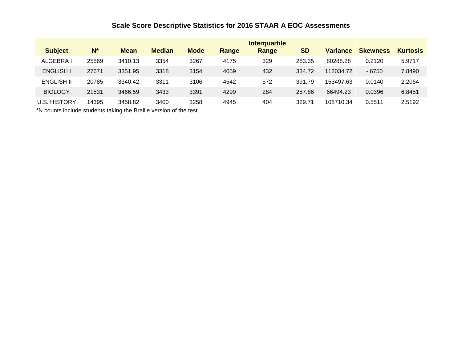### **Scale Score Descriptive Statistics for 2016 STAAR A EOC Assessments**

|                     |       |             |               |             |       | <b>Interquartile</b> |           |                 |                 |                 |
|---------------------|-------|-------------|---------------|-------------|-------|----------------------|-----------|-----------------|-----------------|-----------------|
| <b>Subject</b>      | $N^*$ | <b>Mean</b> | <b>Median</b> | <b>Mode</b> | Range | Range                | <b>SD</b> | <b>Variance</b> | <b>Skewness</b> | <b>Kurtosis</b> |
| <b>ALGEBRAI</b>     | 25569 | 3410.13     | 3354          | 3267        | 4175  | 329                  | 283.35    | 80288.28        | 0.2120          | 5.9717          |
| <b>ENGLISH I</b>    | 27671 | 3351.95     | 3318          | 3154        | 4059  | 432                  | 334.72    | 112034.72       | $-6750$         | 7.8490          |
| <b>ENGLISH II</b>   | 20785 | 3340.42     | 3311          | 3106        | 4542  | 572                  | 391.79    | 153497.63       | 0.0140          | 2.2064          |
| <b>BIOLOGY</b>      | 21531 | 3466.59     | 3433          | 3391        | 4299  | 284                  | 257.86    | 66494.23        | 0.0396          | 6.8451          |
| <b>U.S. HISTORY</b> | 14395 | 3458.82     | 3400          | 3258        | 4945  | 404                  | 329.71    | 108710.34       | 0.5511          | 2.5192          |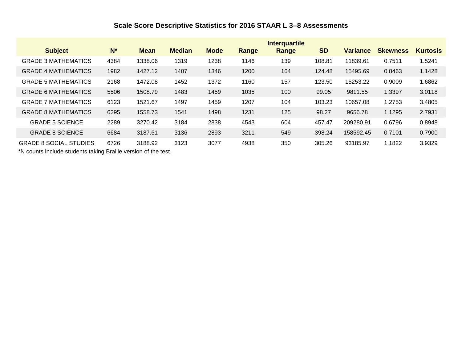### **Scale Score Descriptive Statistics for 2016 STAAR L 3–8 Assessments**

|                               |                |             |               |             |       | <b>Interquartile</b> |           |                 |                 |                 |
|-------------------------------|----------------|-------------|---------------|-------------|-------|----------------------|-----------|-----------------|-----------------|-----------------|
| <b>Subject</b>                | N <sup>*</sup> | <b>Mean</b> | <b>Median</b> | <b>Mode</b> | Range | Range                | <b>SD</b> | <b>Variance</b> | <b>Skewness</b> | <b>Kurtosis</b> |
| <b>GRADE 3 MATHEMATICS</b>    | 4384           | 1338.06     | 1319          | 1238        | 1146  | 139                  | 108.81    | 11839.61        | 0.7511          | 1.5241          |
| <b>GRADE 4 MATHEMATICS</b>    | 1982           | 1427.12     | 1407          | 1346        | 1200  | 164                  | 124.48    | 15495.69        | 0.8463          | 1.1428          |
| <b>GRADE 5 MATHEMATICS</b>    | 2168           | 1472.08     | 1452          | 1372        | 1160  | 157                  | 123.50    | 15253.22        | 0.9009          | 1.6862          |
| <b>GRADE 6 MATHEMATICS</b>    | 5506           | 1508.79     | 1483          | 1459        | 1035  | 100                  | 99.05     | 9811.55         | 1.3397          | 3.0118          |
| <b>GRADE 7 MATHEMATICS</b>    | 6123           | 1521.67     | 1497          | 1459        | 1207  | 104                  | 103.23    | 10657.08        | 1.2753          | 3.4805          |
| <b>GRADE 8 MATHEMATICS</b>    | 6295           | 1558.73     | 1541          | 1498        | 1231  | 125                  | 98.27     | 9656.78         | 1.1295          | 2.7931          |
| <b>GRADE 5 SCIENCE</b>        | 2289           | 3270.42     | 3184          | 2838        | 4543  | 604                  | 457.47    | 209280.91       | 0.6796          | 0.8948          |
| <b>GRADE 8 SCIENCE</b>        | 6684           | 3187.61     | 3136          | 2893        | 3211  | 549                  | 398.24    | 158592.45       | 0.7101          | 0.7900          |
| <b>GRADE 8 SOCIAL STUDIES</b> | 6726           | 3188.92     | 3123          | 3077        | 4938  | 350                  | 305.26    | 93185.97        | 1.1822          | 3.9329          |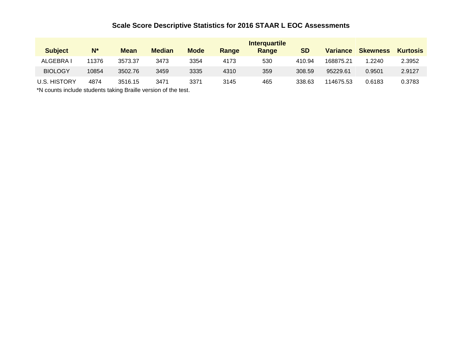### **Scale Score Descriptive Statistics for 2016 STAAR L EOC Assessments**

| <b>Subject</b>      | N*    | <b>Mean</b> | <b>Median</b> | <b>Mode</b> | Range | <b>Interguartile</b><br>Range | <b>SD</b> | <b>Variance</b> | <b>Skewness</b> | <b>Kurtosis</b> |
|---------------------|-------|-------------|---------------|-------------|-------|-------------------------------|-----------|-----------------|-----------------|-----------------|
| ALGEBRA I           | 11376 | 3573.37     | 3473          | 3354        | 4173  | 530                           | 410.94    | 168875.21       | .2240           | 2.3952          |
| <b>BIOLOGY</b>      | 10854 | 3502.76     | 3459          | 3335        | 4310  | 359                           | 308.59    | 95229.61        | 0.9501          | 2.9127          |
| <b>U.S. HISTORY</b> | 4874  | 3516.15     | 3471          | 3371        | 3145  | 465                           | 338.63    | 114675.53       | 0.6183          | 0.3783          |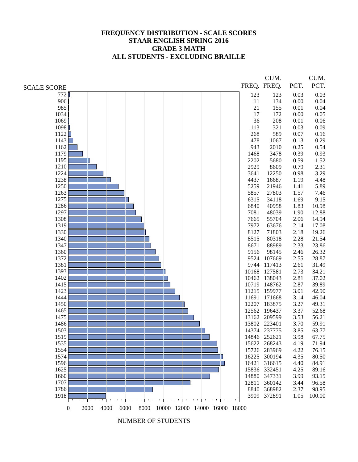#### **FREQUENCY DISTRIBUTION - SCALE SCORES STAAR ENGLISH SPRING 2016 GRADE 3 MATH ALL STUDENTS - EXCLUDING BRAILLE**

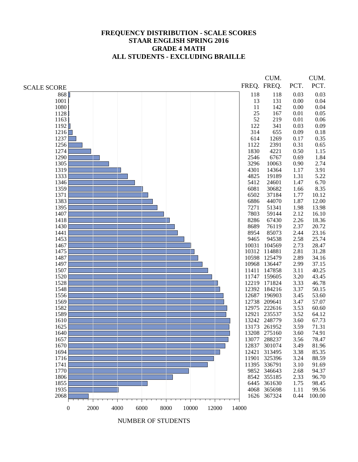#### **FREQUENCY DISTRIBUTION - SCALE SCORES STAAR ENGLISH SPRING 2016 GRADE 4 MATH ALL STUDENTS - EXCLUDING BRAILLE**

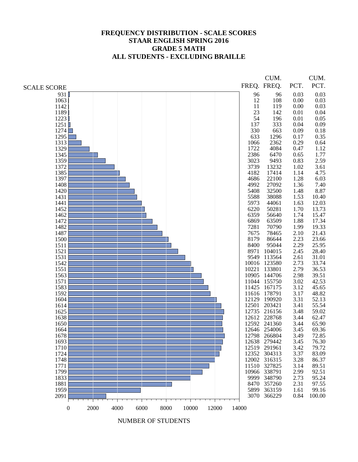#### **FREQUENCY DISTRIBUTION - SCALE SCORES STAAR ENGLISH SPRING 2016 GRADE 5 MATH ALL STUDENTS - EXCLUDING BRAILLE**

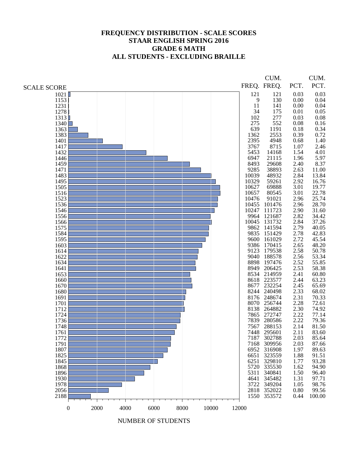#### **FREQUENCY DISTRIBUTION - SCALE SCORES STAAR ENGLISH SPRING 2016 GRADE 6 MATH ALL STUDENTS - EXCLUDING BRAILLE**

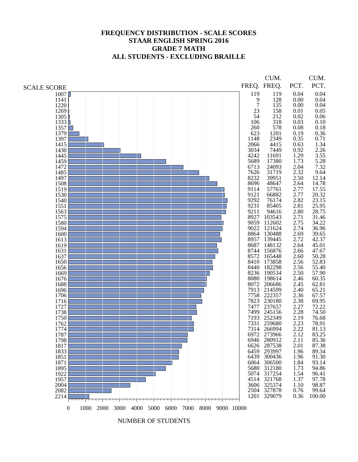#### **FREQUENCY DISTRIBUTION - SCALE SCORES STAAR ENGLISH SPRING 2016 GRADE 7 MATH ALL STUDENTS - EXCLUDING BRAILLE**

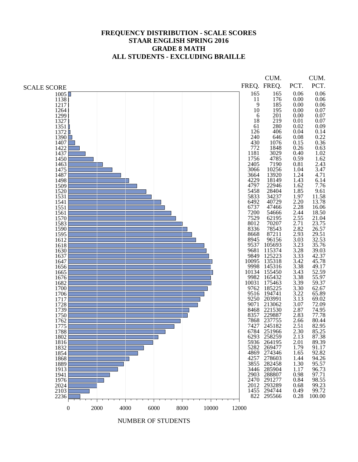#### **FREQUENCY DISTRIBUTION - SCALE SCORES STAAR ENGLISH SPRING 2016 GRADE 8 MATH ALL STUDENTS - EXCLUDING BRAILLE**

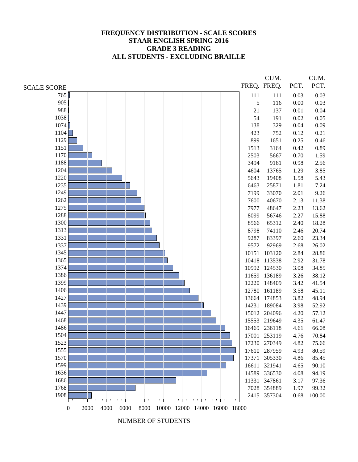#### **FREQUENCY DISTRIBUTION - SCALE SCORES STAAR ENGLISH SPRING 2016 GRADE 3 READING ALL STUDENTS - EXCLUDING BRAILLE**

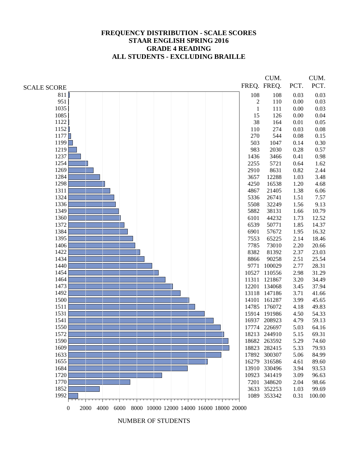#### **FREQUENCY DISTRIBUTION - SCALE SCORES STAAR ENGLISH SPRING 2016 GRADE 4 READING ALL STUDENTS - EXCLUDING BRAILLE**

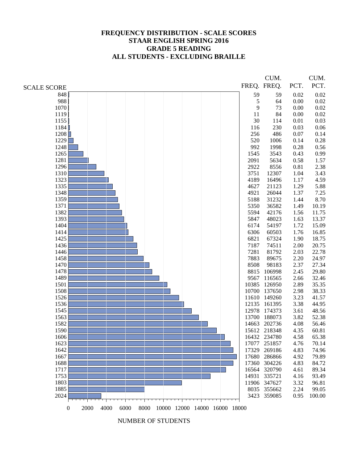#### **FREQUENCY DISTRIBUTION - SCALE SCORES STAAR ENGLISH SPRING 2016 GRADE 5 READING ALL STUDENTS - EXCLUDING BRAILLE**

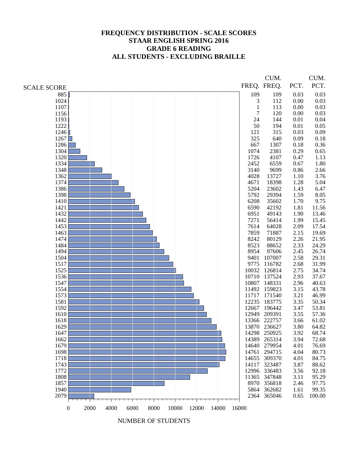#### **FREQUENCY DISTRIBUTION - SCALE SCORES STAAR ENGLISH SPRING 2016 GRADE 6 READING ALL STUDENTS - EXCLUDING BRAILLE**

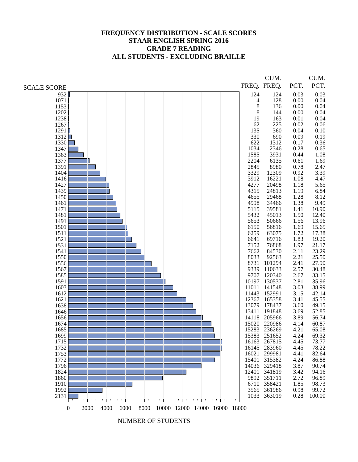#### **FREQUENCY DISTRIBUTION - SCALE SCORES STAAR ENGLISH SPRING 2016 GRADE 7 READING ALL STUDENTS - EXCLUDING BRAILLE**

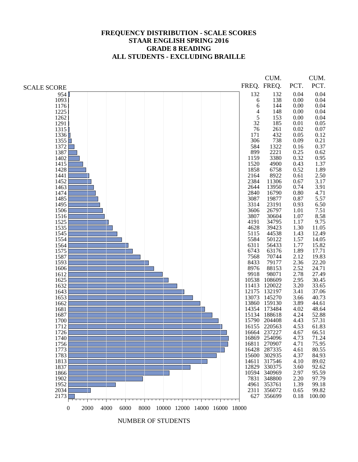#### **FREQUENCY DISTRIBUTION - SCALE SCORES STAAR ENGLISH SPRING 2016 GRADE 8 READING ALL STUDENTS - EXCLUDING BRAILLE**

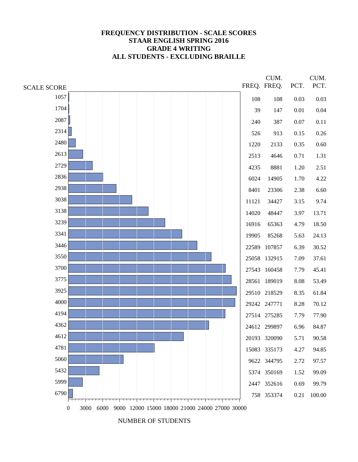#### **FREQUENCY DISTRIBUTION - SCALE SCORES STAAR ENGLISH SPRING 2016 GRADE 4 WRITING ALL STUDENTS - EXCLUDING BRAILLE**

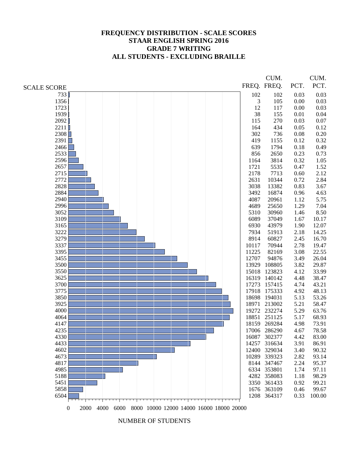#### **FREQUENCY DISTRIBUTION - SCALE SCORES STAAR ENGLISH SPRING 2016 GRADE 7 WRITING ALL STUDENTS - EXCLUDING BRAILLE**

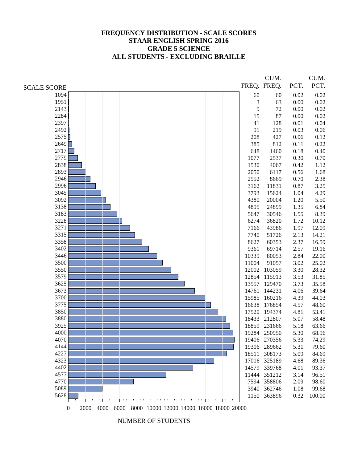#### **FREQUENCY DISTRIBUTION - SCALE SCORES STAAR ENGLISH SPRING 2016 GRADE 5 SCIENCE ALL STUDENTS - EXCLUDING BRAILLE**

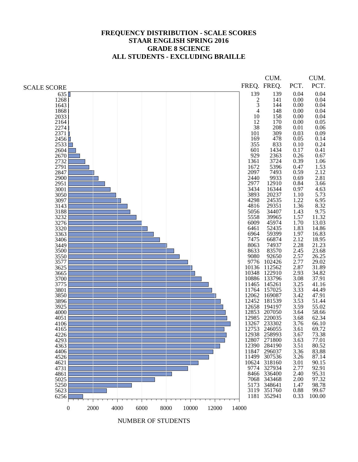#### **FREQUENCY DISTRIBUTION - SCALE SCORES STAAR ENGLISH SPRING 2016 GRADE 8 SCIENCE ALL STUDENTS - EXCLUDING BRAILLE**

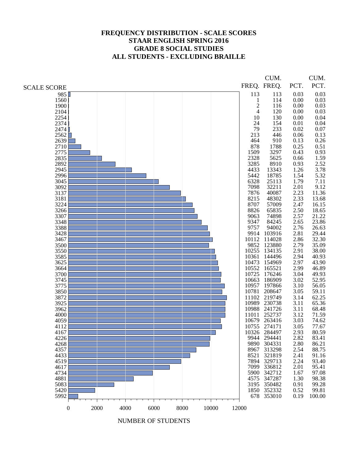#### **FREQUENCY DISTRIBUTION - SCALE SCORES STAAR ENGLISH SPRING 2016 GRADE 8 SOCIAL STUDIES ALL STUDENTS - EXCLUDING BRAILLE**

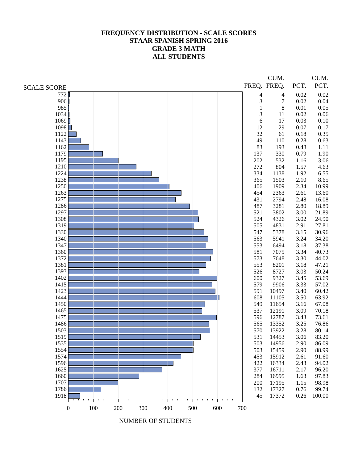#### **FREQUENCY DISTRIBUTION - SCALE SCORES STAAR SPANISH SPRING 2016 GRADE 3 MATH ALL STUDENTS**

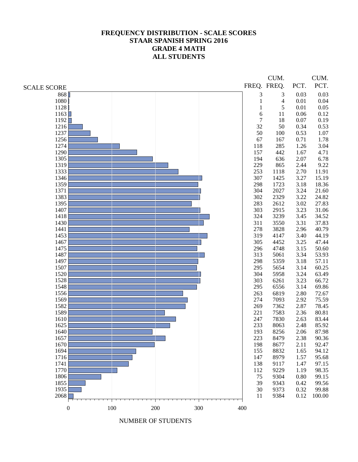#### **FREQUENCY DISTRIBUTION - SCALE SCORES STAAR SPANISH SPRING 2016 GRADE 4 MATH ALL STUDENTS**

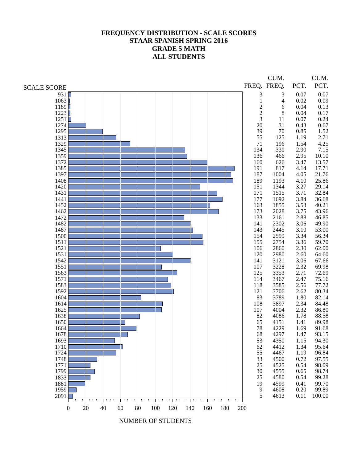#### **FREQUENCY DISTRIBUTION - SCALE SCORES STAAR SPANISH SPRING 2016 GRADE 5 MATH ALL STUDENTS**

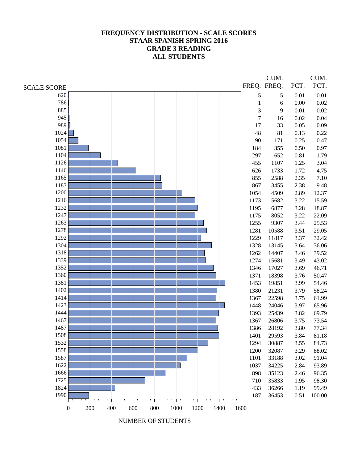#### **FREQUENCY DISTRIBUTION - SCALE SCORES STAAR SPANISH SPRING 2016 GRADE 3 READING ALL STUDENTS**

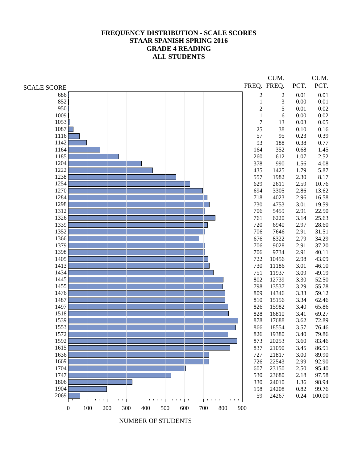#### **FREQUENCY DISTRIBUTION - SCALE SCORES STAAR SPANISH SPRING 2016 GRADE 4 READING ALL STUDENTS**

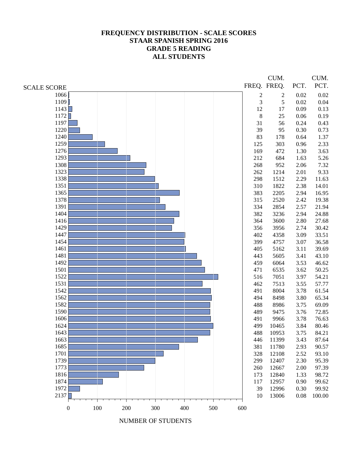#### **FREQUENCY DISTRIBUTION - SCALE SCORES STAAR SPANISH SPRING 2016 GRADE 5 READING ALL STUDENTS**

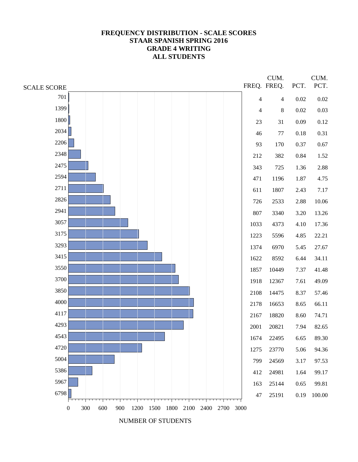#### **FREQUENCY DISTRIBUTION - SCALE SCORES STAAR SPANISH SPRING 2016 GRADE 4 WRITING ALL STUDENTS**

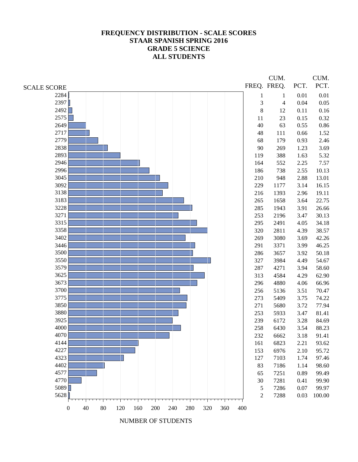#### **FREQUENCY DISTRIBUTION - SCALE SCORES STAAR SPANISH SPRING 2016 GRADE 5 SCIENCE ALL STUDENTS**

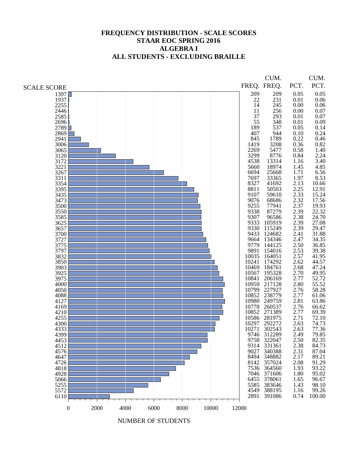#### **FREQUENCY DISTRIBUTION - SCALE SCORES STAAR EOC SPRING 2016 ALGEBRA I ALL STUDENTS - EXCLUDING BRAILLE**

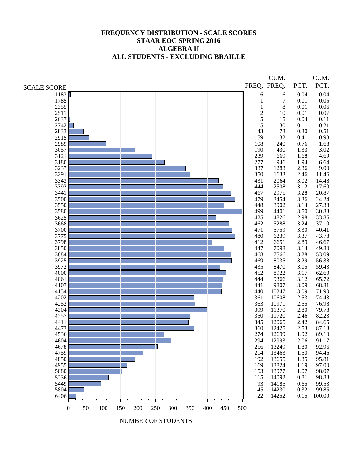#### **FREQUENCY DISTRIBUTION - SCALE SCORES STAAR EOC SPRING 2016 ALGEBRA II ALL STUDENTS - EXCLUDING BRAILLE**

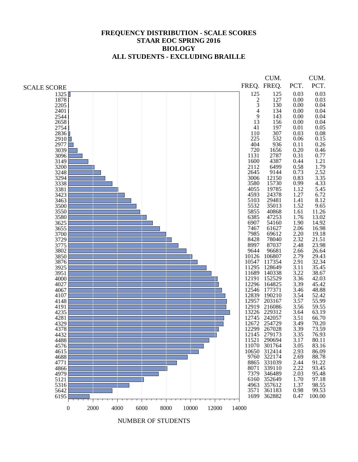#### **FREQUENCY DISTRIBUTION - SCALE SCORES STAAR EOC SPRING 2016 BIOLOGY ALL STUDENTS - EXCLUDING BRAILLE**

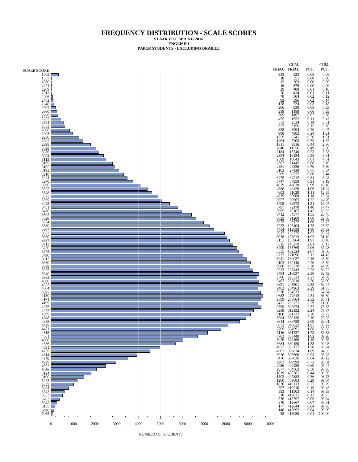#### **FREQUENCY DISTRIBUTION - SCALE SCORES STAAR EOC SPRING 2016**

**ENGLISH I**

**PAPER STUDENTS - EXCLUDING BRAILLE**

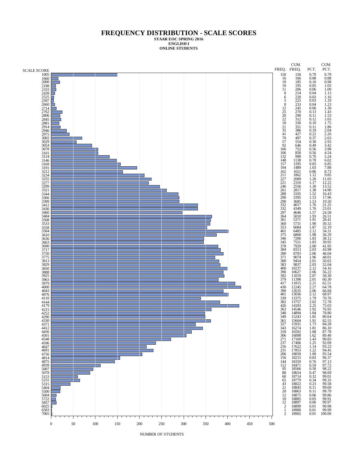**STAAR EOC SPRING 2016 ENGLISH I ONLINE STUDENTS**

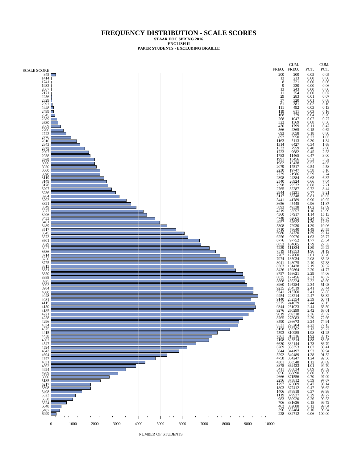#### **FREQUENCY DISTRIBUTION - SCALE SCORES STAAR EOC SPRING 2016 ENGLISH II PAPER STUDENTS - EXCLUDING BRAILLE**

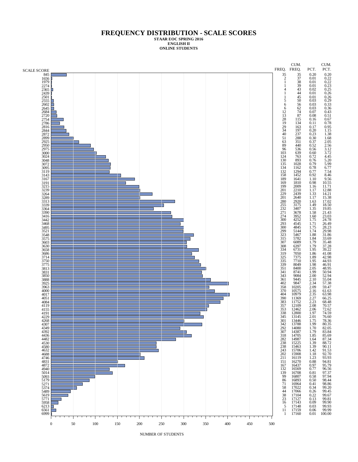**STAAR EOC SPRING 2016 ENGLISH II ONLINE STUDENTS**

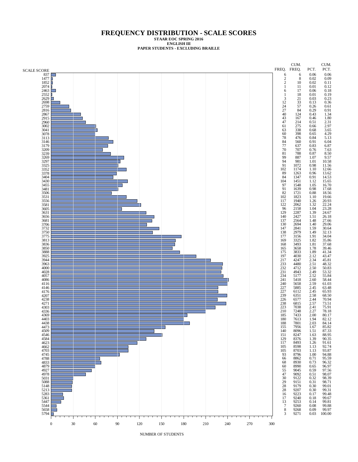**STAAR EOC SPRING 2016 ENGLISH III**

**PAPER STUDENTS - EXCLUDING BRAILLE**

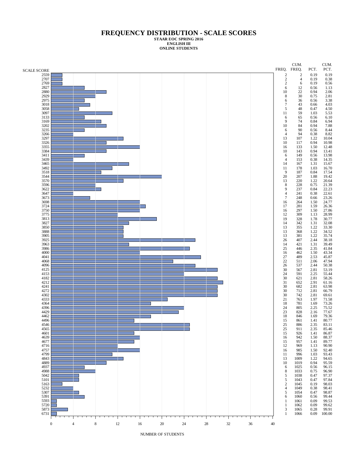**STAAR EOC SPRING 2016 ENGLISH III ONLINE STUDENTS**

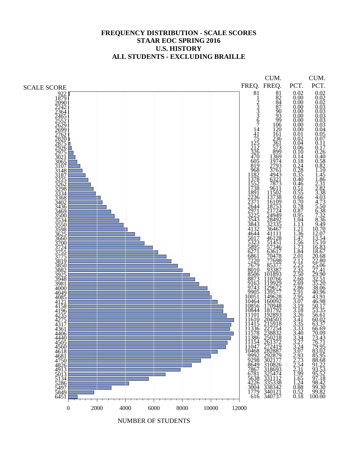### **FREQUENCY DISTRIBUTION - SCALE SCORES STAAR EOC SPRING 2016 U.S. HISTORY ALL STUDENTS - EXCLUDING BRAILLE**

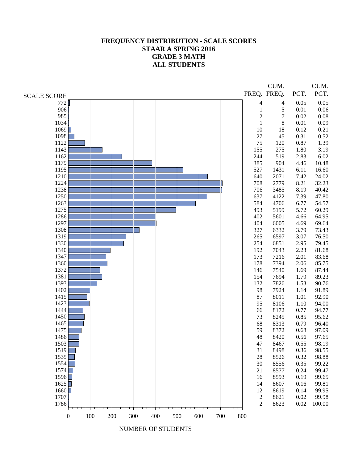#### **FREQUENCY DISTRIBUTION - SCALE SCORES STAAR A SPRING 2016 GRADE 3 MATH ALL STUDENTS**

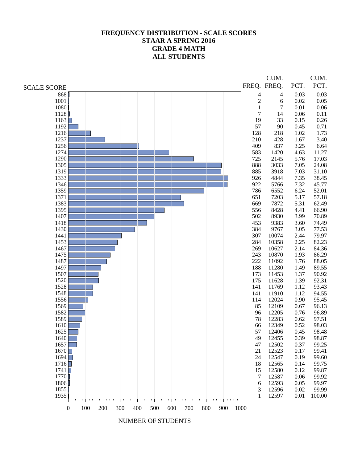# **FREQUENCY DISTRIBUTION - SCALE SCORES STAAR A SPRING 2016 GRADE 4 MATH ALL STUDENTS**

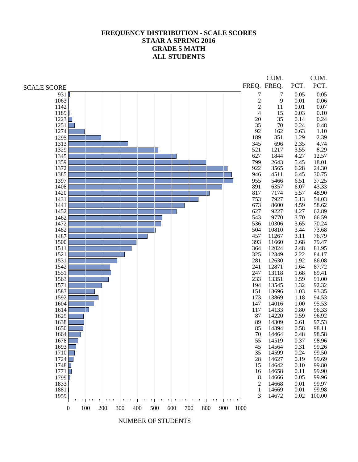# **FREQUENCY DISTRIBUTION - SCALE SCORES STAAR A SPRING 2016 GRADE 5 MATH ALL STUDENTS**

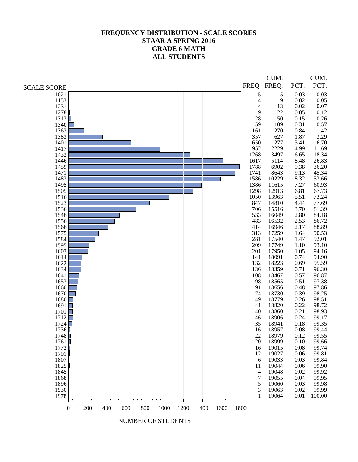# **FREQUENCY DISTRIBUTION - SCALE SCORES STAAR A SPRING 2016 GRADE 6 MATH ALL STUDENTS**

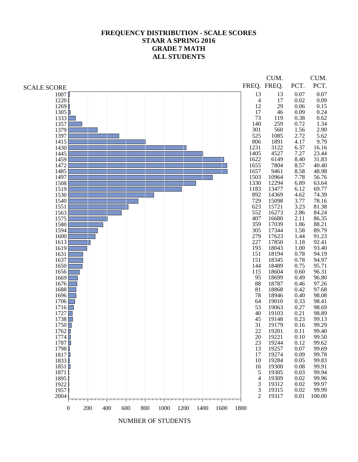# **FREQUENCY DISTRIBUTION - SCALE SCORES STAAR A SPRING 2016 GRADE 7 MATH ALL STUDENTS**

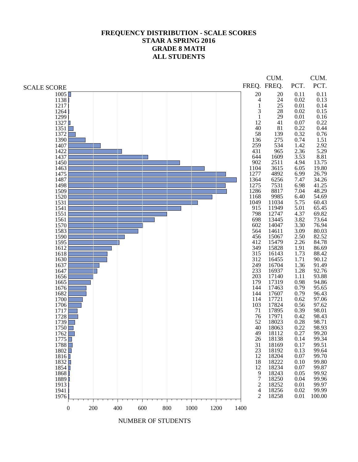# **FREQUENCY DISTRIBUTION - SCALE SCORES STAAR A SPRING 2016 GRADE 8 MATH ALL STUDENTS**

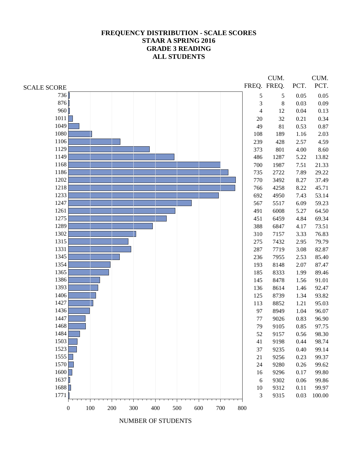# **FREQUENCY DISTRIBUTION - SCALE SCORES STAAR A SPRING 2016 GRADE 3 READING ALL STUDENTS**

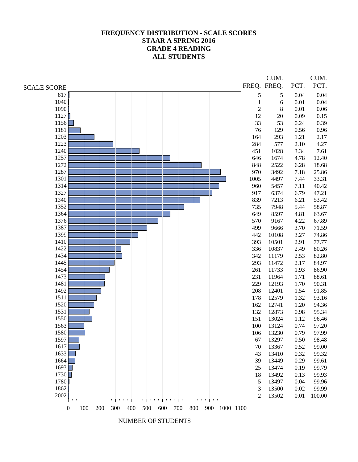# **FREQUENCY DISTRIBUTION - SCALE SCORES STAAR A SPRING 2016 GRADE 4 READING ALL STUDENTS**

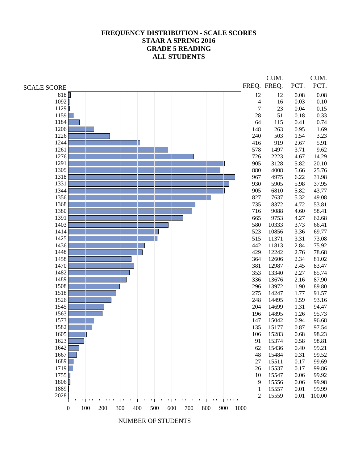# **FREQUENCY DISTRIBUTION - SCALE SCORES STAAR A SPRING 2016 GRADE 5 READING ALL STUDENTS**

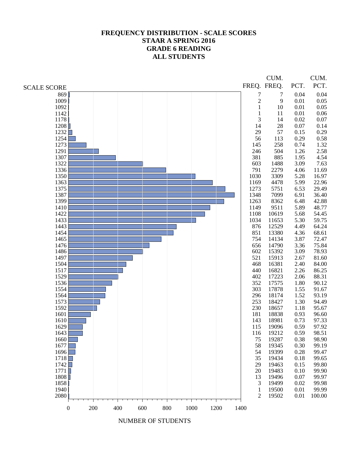# **FREQUENCY DISTRIBUTION - SCALE SCORES STAAR A SPRING 2016 GRADE 6 READING ALL STUDENTS**

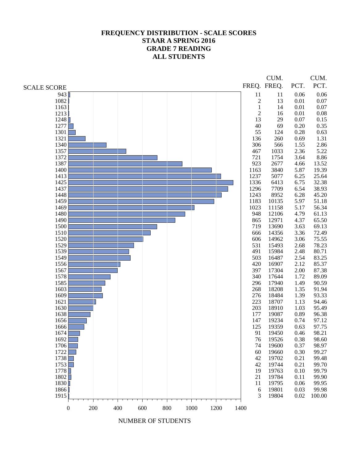# **FREQUENCY DISTRIBUTION - SCALE SCORES STAAR A SPRING 2016 GRADE 7 READING ALL STUDENTS**

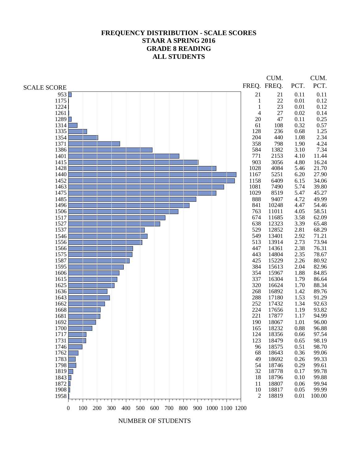### **FREQUENCY DISTRIBUTION - SCALE SCORES STAAR A SPRING 2016 GRADE 8 READING ALL STUDENTS**

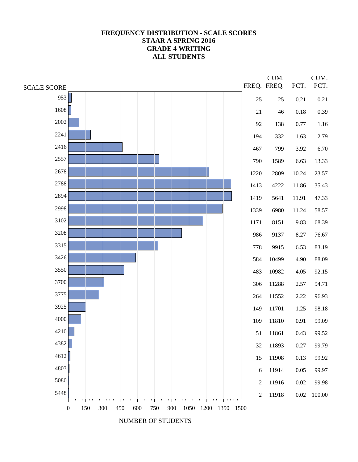### **FREQUENCY DISTRIBUTION - SCALE SCORES STAAR A SPRING 2016 GRADE 4 WRITING ALL STUDENTS**

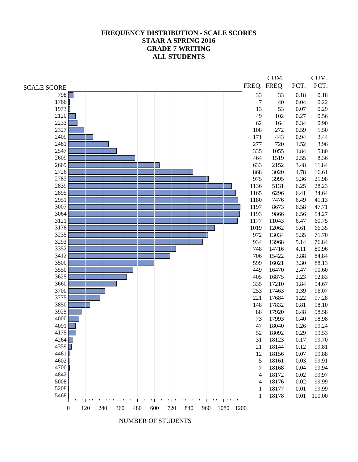### **FREQUENCY DISTRIBUTION - SCALE SCORES STAAR A SPRING 2016 GRADE 7 WRITING ALL STUDENTS**

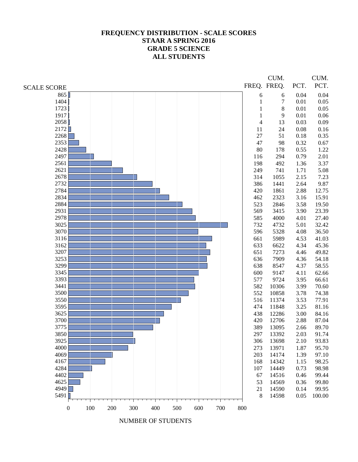# **FREQUENCY DISTRIBUTION - SCALE SCORES STAAR A SPRING 2016 GRADE 5 SCIENCE ALL STUDENTS**

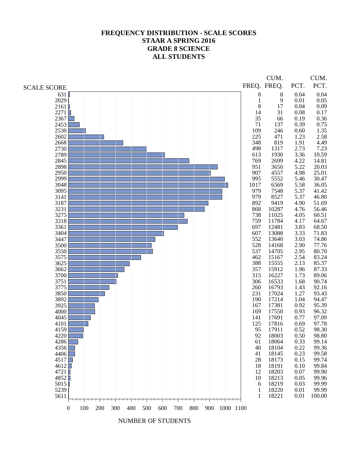## **FREQUENCY DISTRIBUTION - SCALE SCORES STAAR A SPRING 2016 GRADE 8 SCIENCE ALL STUDENTS**

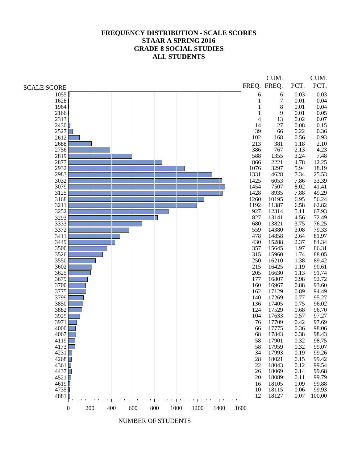### **FREQUENCY DISTRIBUTION - SCALE SCORES STAAR A SPRING 2016 GRADE 8 SOCIAL STUDIES ALL STUDENTS**

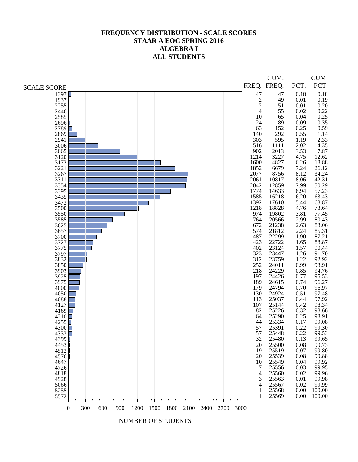#### **FREQUENCY DISTRIBUTION - SCALE SCORES STAAR A EOC SPRING 2016 ALGEBRA I ALL STUDENTS**

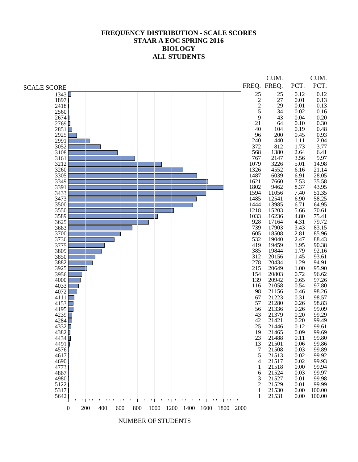#### **FREQUENCY DISTRIBUTION - SCALE SCORES STAAR A EOC SPRING 2016 BIOLOGY ALL STUDENTS**

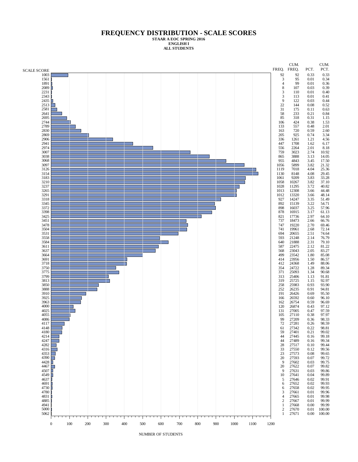**STAAR A EOC SPRING 2016 ENGLISH I ALL STUDENTS**

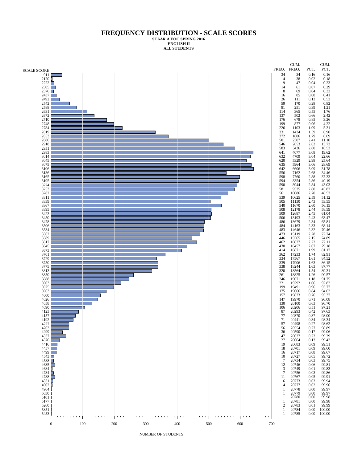**STAAR A EOC SPRING 2016 ENGLISH II ALL STUDENTS**

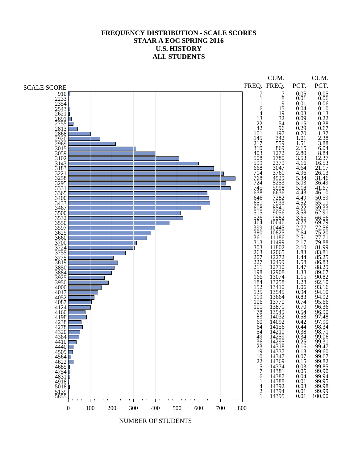### **FREQUENCY DISTRIBUTION - SCALE SCORES STAAR A EOC SPRING 2016 U.S. HISTORY ALL STUDENTS**

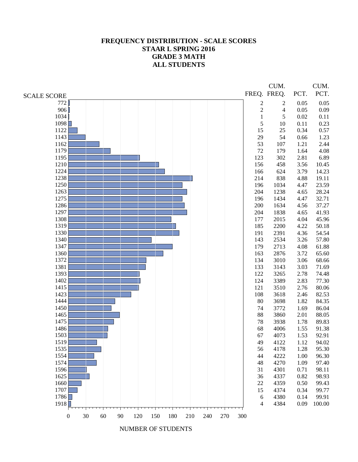#### **FREQUENCY DISTRIBUTION - SCALE SCORES STAAR L SPRING 2016 GRADE 3 MATH ALL STUDENTS**

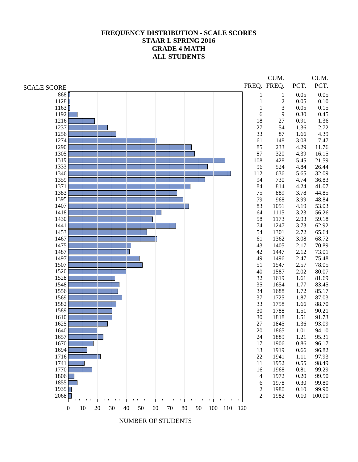# **FREQUENCY DISTRIBUTION - SCALE SCORES STAAR L SPRING 2016 GRADE 4 MATH ALL STUDENTS**

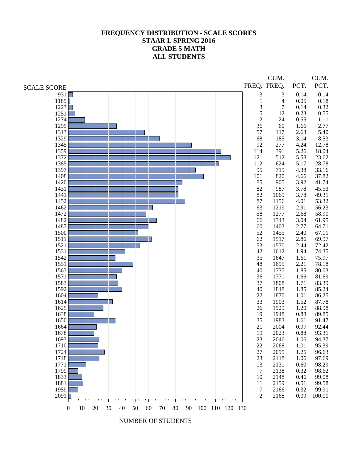# **FREQUENCY DISTRIBUTION - SCALE SCORES STAAR L SPRING 2016 GRADE 5 MATH ALL STUDENTS**

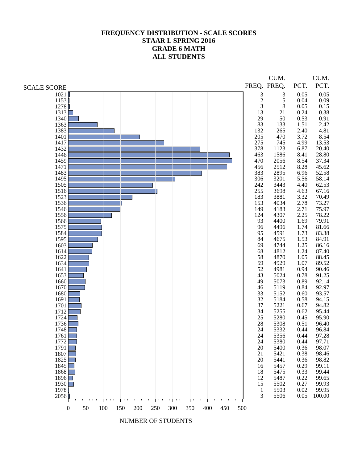# **FREQUENCY DISTRIBUTION - SCALE SCORES STAAR L SPRING 2016 GRADE 6 MATH ALL STUDENTS**

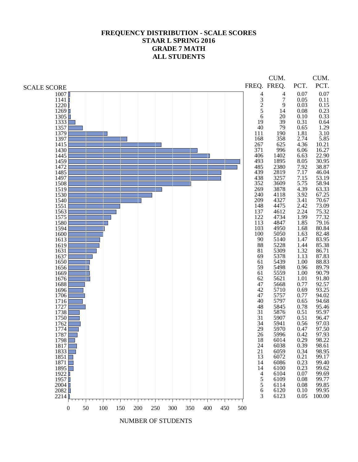# **FREQUENCY DISTRIBUTION - SCALE SCORES STAAR L SPRING 2016 GRADE 7 MATH ALL STUDENTS**

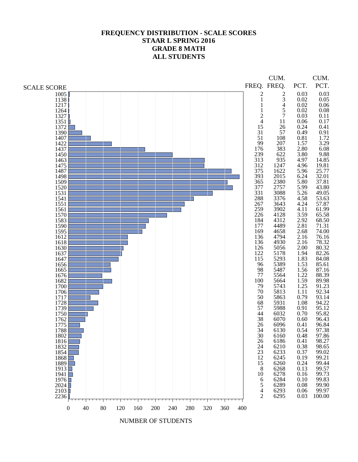# **FREQUENCY DISTRIBUTION - SCALE SCORES STAAR L SPRING 2016 GRADE 8 MATH ALL STUDENTS**

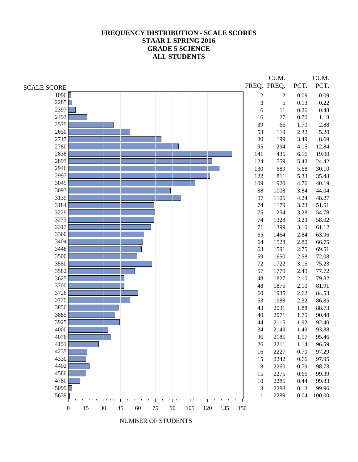# **FREQUENCY DISTRIBUTION - SCALE SCORES STAAR L SPRING 2016 GRADE 5 SCIENCE ALL STUDENTS**



NUMBER OF STUDENTS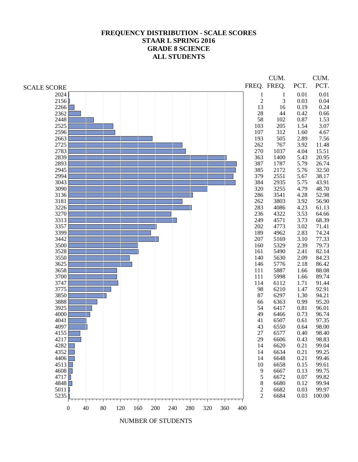# **FREQUENCY DISTRIBUTION - SCALE SCORES STAAR L SPRING 2016 GRADE 8 SCIENCE ALL STUDENTS**

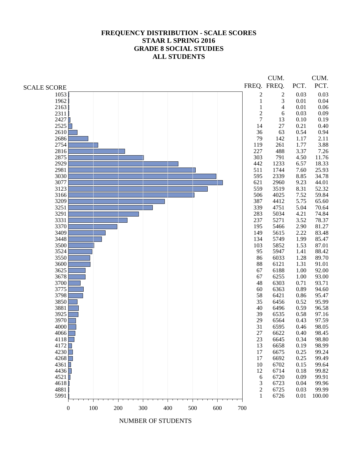## **FREQUENCY DISTRIBUTION - SCALE SCORES STAAR L SPRING 2016 GRADE 8 SOCIAL STUDIES ALL STUDENTS**

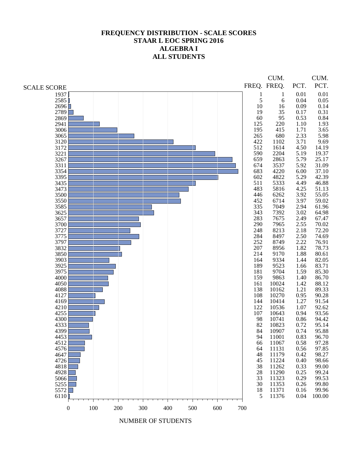## **FREQUENCY DISTRIBUTION - SCALE SCORES STAAR L EOC SPRING 2016 ALGEBRA I ALL STUDENTS**

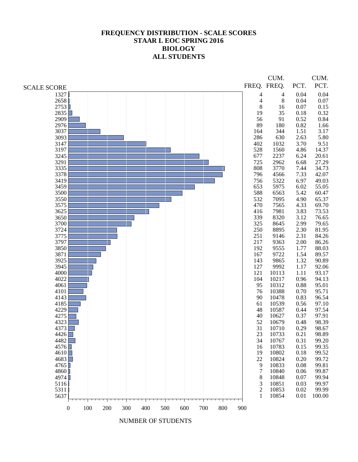#### **FREQUENCY DISTRIBUTION - SCALE SCORES STAAR L EOC SPRING 2016 BIOLOGY ALL STUDENTS**



NUMBER OF STUDENTS